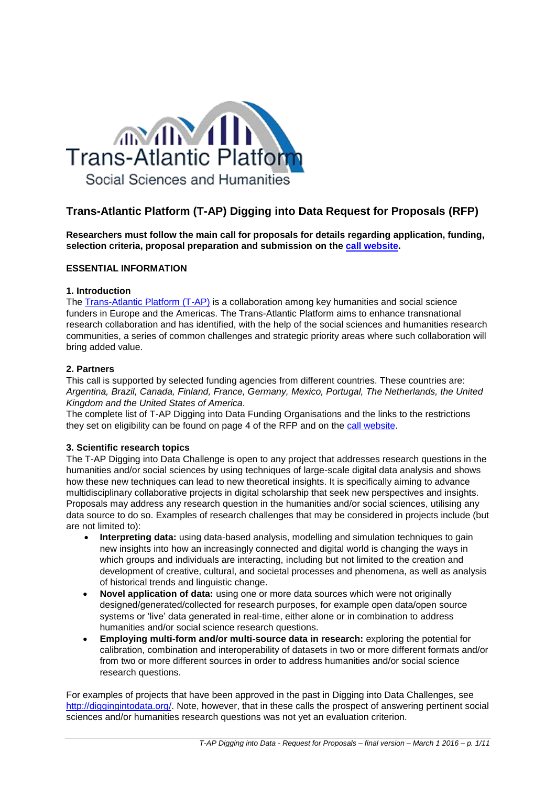

# **Trans-Atlantic Platform (T-AP) Digging into Data Request for Proposals (RFP)**

**Researchers must follow the main call for proposals for details regarding application, funding, selection criteria, proposal preparation and submission on the [call website.](http://www.transatlanticplatform.com/)**

## **ESSENTIAL INFORMATION**

#### **1. Introduction**

The [Trans-Atlantic Platform \(T-AP\)](http://www.transatlanticplatform.com/) is a collaboration among key humanities and social science funders in Europe and the Americas. The Trans-Atlantic Platform aims to enhance transnational research collaboration and has identified, with the help of the social sciences and humanities research communities, a series of common challenges and strategic priority areas where such collaboration will bring added value.

## **2. Partners**

This call is supported by selected funding agencies from different countries. These countries are: *Argentina, Brazil, Canada, Finland, France, Germany, Mexico, Portugal, The Netherlands, the United Kingdom and the United States of America*.

The complete list of T-AP Digging into Data Funding Organisations and the links to the restrictions they set on eligibility can be found on page 4 of the RFP and on the [call website.](http://www.transatlanticplatform.com/)

## **3. Scientific research topics**

The T-AP Digging into Data Challenge is open to any project that addresses research questions in the humanities and/or social sciences by using techniques of large-scale digital data analysis and shows how these new techniques can lead to new theoretical insights. It is specifically aiming to advance multidisciplinary collaborative projects in digital scholarship that seek new perspectives and insights. Proposals may address any research question in the humanities and/or social sciences, utilising any data source to do so. Examples of research challenges that may be considered in projects include (but are not limited to):

- **Interpreting data:** using data-based analysis, modelling and simulation techniques to gain new insights into how an increasingly connected and digital world is changing the ways in which groups and individuals are interacting, including but not limited to the creation and development of creative, cultural, and societal processes and phenomena, as well as analysis of historical trends and linguistic change.
- **Novel application of data:** using one or more data sources which were not originally designed/generated/collected for research purposes, for example open data/open source systems or 'live' data generated in real-time, either alone or in combination to address humanities and/or social science research questions.
- **Employing multi-form and/or multi-source data in research:** exploring the potential for calibration, combination and interoperability of datasets in two or more different formats and/or from two or more different sources in order to address humanities and/or social science research questions.

For examples of projects that have been approved in the past in Digging into Data Challenges, see [http://diggingintodata.org/.](http://diggingintodata.org/) Note, however, that in these calls the prospect of answering pertinent social sciences and/or humanities research questions was not yet an evaluation criterion.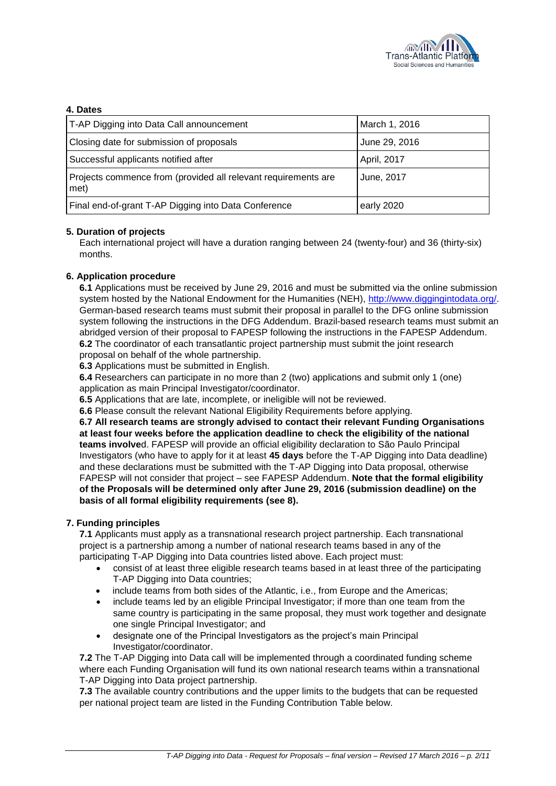

## **4. Dates**

| T-AP Digging into Data Call announcement                               | March 1, 2016 |
|------------------------------------------------------------------------|---------------|
| Closing date for submission of proposals                               | June 29, 2016 |
| Successful applicants notified after                                   | April, 2017   |
| Projects commence from (provided all relevant requirements are<br>met) | June, 2017    |
| Final end-of-grant T-AP Digging into Data Conference                   | early 2020    |

## **5. Duration of projects**

Each international project will have a duration ranging between 24 (twenty-four) and 36 (thirty-six) months.

## **6. Application procedure**

**6.1** Applications must be received by June 29, 2016 and must be submitted via the online submission system hosted by the National Endowment for the Humanities (NEH), [http://www.diggingintodata.org/.](http://www.diggingintodata.org/) German-based research teams must submit their proposal in parallel to the DFG online submission system following the instructions in the DFG Addendum. Brazil-based research teams must submit an abridged version of their proposal to FAPESP following the instructions in the FAPESP Addendum. **6.2** The coordinator of each transatlantic project partnership must submit the joint research proposal on behalf of the whole partnership.

**6.3** Applications must be submitted in English.

**6.4** Researchers can participate in no more than 2 (two) applications and submit only 1 (one) application as main Principal Investigator/coordinator.

**6.5** Applications that are late, incomplete, or ineligible will not be reviewed.

**6.6** Please consult the relevant National Eligibility Requirements before applying.

**6.7 All research teams are strongly advised to contact their relevant Funding Organisations at least four weeks before the application deadline to check the eligibility of the national teams involve**d. FAPESP will provide an official eligibility declaration to São Paulo Principal Investigators (who have to apply for it at least **45 days** before the T-AP Digging into Data deadline) and these declarations must be submitted with the T-AP Digging into Data proposal, otherwise FAPESP will not consider that project – see FAPESP Addendum. **Note that the formal eligibility of the Proposals will be determined only after June 29, 2016 (submission deadline) on the basis of all formal eligibility requirements (see 8).**

## **7. Funding principles**

**7.1** Applicants must apply as a transnational research project partnership. Each transnational project is a partnership among a number of national research teams based in any of the participating T-AP Digging into Data countries listed above. Each project must:

- consist of at least three eligible research teams based in at least three of the participating T-AP Digging into Data countries;
- include teams from both sides of the Atlantic, i.e., from Europe and the Americas;
- include teams led by an eligible Principal Investigator; if more than one team from the same country is participating in the same proposal, they must work together and designate one single Principal Investigator; and
- designate one of the Principal Investigators as the project's main Principal Investigator/coordinator.

**7.2** The T-AP Digging into Data call will be implemented through a coordinated funding scheme where each Funding Organisation will fund its own national research teams within a transnational T-AP Digging into Data project partnership.

**7.3** The available country contributions and the upper limits to the budgets that can be requested per national project team are listed in the Funding Contribution Table below.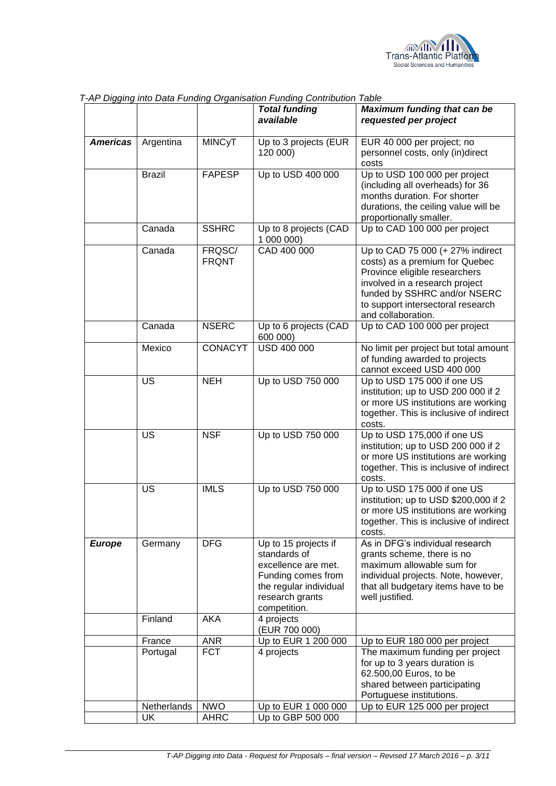

|                 |               |                        | <b>Total funding</b><br>available                                                                                                              | <b>Maximum funding that can be</b><br>requested per project                                                                                                                                                                      |
|-----------------|---------------|------------------------|------------------------------------------------------------------------------------------------------------------------------------------------|----------------------------------------------------------------------------------------------------------------------------------------------------------------------------------------------------------------------------------|
| <b>Americas</b> | Argentina     | <b>MINCyT</b>          | Up to 3 projects (EUR<br>120 000)                                                                                                              | EUR 40 000 per project; no<br>personnel costs, only (in)direct<br>costs                                                                                                                                                          |
|                 | <b>Brazil</b> | <b>FAPESP</b>          | Up to USD 400 000                                                                                                                              | Up to USD 100 000 per project<br>(including all overheads) for 36<br>months duration. For shorter<br>durations, the ceiling value will be<br>proportionally smaller.                                                             |
|                 | Canada        | <b>SSHRC</b>           | Up to 8 projects (CAD<br>1 000 000)                                                                                                            | Up to CAD 100 000 per project                                                                                                                                                                                                    |
|                 | Canada        | FRQSC/<br><b>FRQNT</b> | CAD 400 000                                                                                                                                    | Up to CAD 75 000 (+ 27% indirect<br>costs) as a premium for Quebec<br>Province eligible researchers<br>involved in a research project<br>funded by SSHRC and/or NSERC<br>to support intersectoral research<br>and collaboration. |
|                 | Canada        | <b>NSERC</b>           | Up to 6 projects (CAD<br>600 000)                                                                                                              | Up to CAD 100 000 per project                                                                                                                                                                                                    |
|                 | Mexico        | <b>CONACYT</b>         | USD 400 000                                                                                                                                    | No limit per project but total amount<br>of funding awarded to projects<br>cannot exceed USD 400 000                                                                                                                             |
|                 | <b>US</b>     | <b>NEH</b>             | Up to USD 750 000                                                                                                                              | Up to USD 175 000 if one US<br>institution; up to USD 200 000 if 2<br>or more US institutions are working<br>together. This is inclusive of indirect<br>costs.                                                                   |
|                 | US            | <b>NSF</b>             | Up to USD 750 000                                                                                                                              | Up to USD 175,000 if one US<br>institution; up to USD 200 000 if 2<br>or more US institutions are working<br>together. This is inclusive of indirect<br>costs.                                                                   |
|                 | US            | <b>IMLS</b>            | Up to USD 750 000                                                                                                                              | Up to USD 175 000 if one US<br>institution; up to USD \$200,000 if 2<br>or more US institutions are working<br>together. This is inclusive of indirect<br>costs.                                                                 |
| <b>Europe</b>   | Germany       | <b>DFG</b>             | Up to 15 projects if<br>standards of<br>excellence are met.<br>Funding comes from<br>the regular individual<br>research grants<br>competition. | As in DFG's individual research<br>grants scheme, there is no<br>maximum allowable sum for<br>individual projects. Note, however,<br>that all budgetary items have to be<br>well justified.                                      |
|                 | Finland       | <b>AKA</b>             | 4 projects<br>(EUR 700 000)                                                                                                                    |                                                                                                                                                                                                                                  |
|                 | France        | <b>ANR</b>             | Up to EUR 1 200 000                                                                                                                            | Up to EUR 180 000 per project                                                                                                                                                                                                    |
|                 | Portugal      | <b>FCT</b>             | 4 projects                                                                                                                                     | The maximum funding per project<br>for up to 3 years duration is<br>62.500,00 Euros, to be<br>shared between participating<br>Portuguese institutions.                                                                           |
|                 | Netherlands   | <b>NWO</b>             | Up to EUR 1 000 000                                                                                                                            | Up to EUR 125 000 per project                                                                                                                                                                                                    |
|                 | <b>UK</b>     | <b>AHRC</b>            | Up to GBP 500 000                                                                                                                              |                                                                                                                                                                                                                                  |

*T-AP Digging into Data Funding Organisation Funding Contribution Table*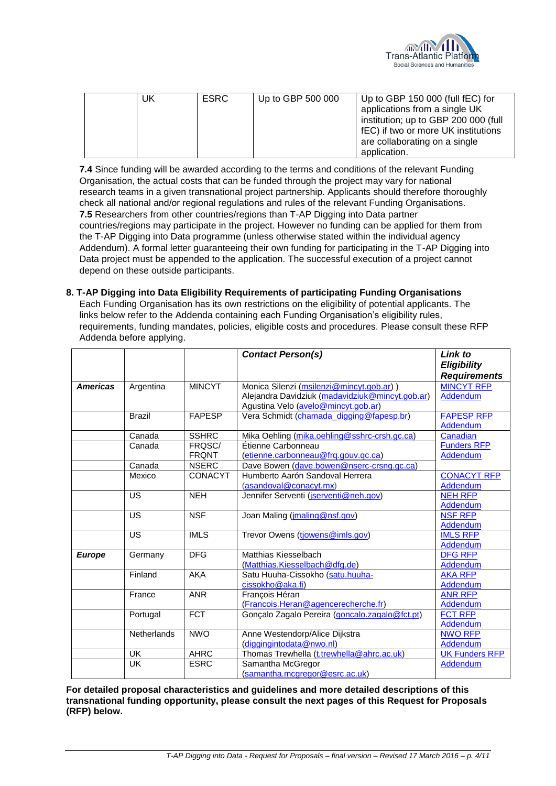

|  | UK | <b>ESRC</b> | Up to GBP 500 000 | Up to GBP 150 000 (full fEC) for     |
|--|----|-------------|-------------------|--------------------------------------|
|  |    |             |                   | applications from a single UK        |
|  |    |             |                   |                                      |
|  |    |             |                   | institution; up to GBP 200 000 (full |
|  |    |             |                   | fEC) if two or more UK institutions  |
|  |    |             |                   | are collaborating on a single        |
|  |    |             |                   | application.                         |

**7.4** Since funding will be awarded according to the terms and conditions of the relevant Funding Organisation, the actual costs that can be funded through the project may vary for national research teams in a given transnational project partnership. Applicants should therefore thoroughly check all national and/or regional regulations and rules of the relevant Funding Organisations. **7.5** Researchers from other countries/regions than T-AP Digging into Data partner countries/regions may participate in the project. However no funding can be applied for them from the T-AP Digging into Data programme (unless otherwise stated within the individual agency Addendum). A formal letter guaranteeing their own funding for participating in the T-AP Digging into Data project must be appended to the application. The successful execution of a project cannot depend on these outside participants.

## **8. T-AP Digging into Data Eligibility Requirements of participating Funding Organisations**

Each Funding Organisation has its own restrictions on the eligibility of potential applicants. The links below refer to the Addenda containing each Funding Organisation's eligibility rules, requirements, funding mandates, policies, eligible costs and procedures. Please consult these RFP Addenda before applying.

|                 |                    |                | <b>Contact Person(s)</b>                        | Link to               |
|-----------------|--------------------|----------------|-------------------------------------------------|-----------------------|
|                 |                    |                |                                                 | <b>Eligibility</b>    |
|                 |                    |                |                                                 | <b>Requirements</b>   |
| <b>Americas</b> | Argentina          | <b>MINCYT</b>  | Monica Silenzi (msilenzi@mincyt.gob.ar))        | <b>MINCYT RFP</b>     |
|                 |                    |                | Alejandra Davidziuk (madavidziuk@mincyt.gob.ar) | Addendum              |
|                 |                    |                | Agustina Velo (avelo@mincyt.gob.ar)             |                       |
|                 | <b>Brazil</b>      | <b>FAPESP</b>  | Vera Schmidt (chamada_digging@fapesp.br)        | <b>FAPESP RFP</b>     |
|                 |                    |                |                                                 | Addendum              |
|                 | Canada             | <b>SSHRC</b>   | Mika Oehling (mika.oehling@sshrc-crsh.gc.ca)    | Canadian              |
|                 | Canada             | FRQSC/         | Étienne Carbonneau                              | <b>Funders RFP</b>    |
|                 |                    | <b>FRQNT</b>   | (etienne.carbonneau@frq.gouv.qc.ca)             | <b>Addendum</b>       |
|                 | Canada             | <b>NSERC</b>   | Dave Bowen (dave.bowen@nserc-crsng.gc.ca)       |                       |
|                 | Mexico             | <b>CONACYT</b> | Humberto Aarón Sandoval Herrera                 | <b>CONACYT RFP</b>    |
|                 |                    |                | (asandoval@conacyt.mx)                          | <b>Addendum</b>       |
|                 | US                 | <b>NEH</b>     | Jennifer Serventi (jserventi@neh.gov)           | <b>NEH RFP</b>        |
|                 |                    |                |                                                 | Addendum              |
|                 | US                 | <b>NSF</b>     | Joan Maling (jmaling@nsf.gov)                   | <b>NSF RFP</b>        |
|                 |                    |                |                                                 | Addendum              |
|                 | <b>US</b>          | <b>IMLS</b>    | Trevor Owens (tiowens@imls.gov)                 | <b>IMLS RFP</b>       |
|                 |                    |                |                                                 | Addendum              |
| <b>Europe</b>   | Germany            | <b>DFG</b>     | Matthias Kiesselbach                            | <b>DFG RFP</b>        |
|                 |                    |                | (Matthias.Kiesselbach@dfg.de)                   | Addendum              |
|                 | Finland            | AKA            | Satu Huuha-Cissokho (satu.huuha-                | <b>AKA RFP</b>        |
|                 |                    |                | cissokho@aka.fi)                                | Addendum              |
|                 | France             | <b>ANR</b>     | François Héran                                  | <b>ANR RFP</b>        |
|                 |                    |                | (Francois.Heran@agencerecherche.fr)             | Addendum              |
|                 | Portugal           | <b>FCT</b>     | Gonçalo Zagalo Pereira (goncalo.zagalo@fct.pt)  | <b>FCT RFP</b>        |
|                 |                    |                |                                                 | Addendum              |
|                 | <b>Netherlands</b> | <b>NWO</b>     | Anne Westendorp/Alice Dijkstra                  | <b>NWO RFP</b>        |
|                 |                    |                | (diggingintodata@nwo.nl)                        | Addendum              |
|                 | <b>UK</b>          | <b>AHRC</b>    | Thomas Trewhella (t.trewhella@ahrc.ac.uk)       | <b>UK Funders RFP</b> |
|                 | <b>UK</b>          | <b>ESRC</b>    | Samantha McGregor                               | Addendum              |
|                 |                    |                | (samantha.mcgregor@esrc.ac.uk)                  |                       |

**For detailed proposal characteristics and guidelines and more detailed descriptions of this transnational funding opportunity, please consult the next pages of this Request for Proposals (RFP) below.**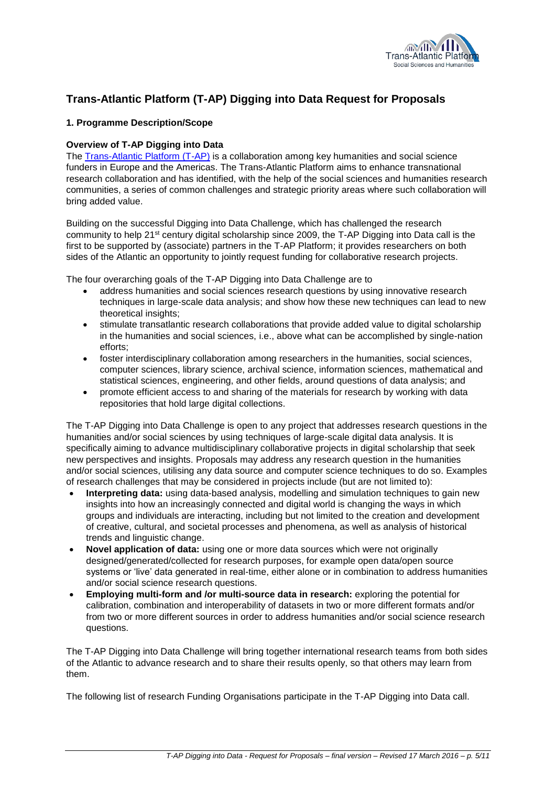

## **Trans-Atlantic Platform (T-AP) Digging into Data Request for Proposals**

## **1. Programme Description/Scope**

## **Overview of T-AP Digging into Data**

The [Trans-Atlantic Platform \(T-AP\)](http://www.transatlanticplatform.com/voorpagina) is a collaboration among key humanities and social science funders in Europe and the Americas. The Trans-Atlantic Platform aims to enhance transnational research collaboration and has identified, with the help of the social sciences and humanities research communities, a series of common challenges and strategic priority areas where such collaboration will bring added value.

Building on the successful Digging into Data Challenge, which has challenged the research community to help 21st century digital scholarship since 2009, the T-AP Digging into Data call is the first to be supported by (associate) partners in the T-AP Platform; it provides researchers on both sides of the Atlantic an opportunity to jointly request funding for collaborative research projects.

The four overarching goals of the T-AP Digging into Data Challenge are to

- address humanities and social sciences research questions by using innovative research techniques in large-scale data analysis; and show how these new techniques can lead to new theoretical insights;
- stimulate transatlantic research collaborations that provide added value to digital scholarship in the humanities and social sciences, i.e., above what can be accomplished by single-nation efforts;
- foster interdisciplinary collaboration among researchers in the humanities, social sciences, computer sciences, library science, archival science, information sciences, mathematical and statistical sciences, engineering, and other fields, around questions of data analysis; and
- promote efficient access to and sharing of the materials for research by working with data repositories that hold large digital collections.

The T-AP Digging into Data Challenge is open to any project that addresses research questions in the humanities and/or social sciences by using techniques of large-scale digital data analysis. It is specifically aiming to advance multidisciplinary collaborative projects in digital scholarship that seek new perspectives and insights. Proposals may address any research question in the humanities and/or social sciences, utilising any data source and computer science techniques to do so. Examples of research challenges that may be considered in projects include (but are not limited to):

- **Interpreting data:** using data-based analysis, modelling and simulation techniques to gain new insights into how an increasingly connected and digital world is changing the ways in which groups and individuals are interacting, including but not limited to the creation and development of creative, cultural, and societal processes and phenomena, as well as analysis of historical trends and linguistic change.
- **Novel application of data:** using one or more data sources which were not originally designed/generated/collected for research purposes, for example open data/open source systems or 'live' data generated in real-time, either alone or in combination to address humanities and/or social science research questions.
- **Employing multi-form and /or multi-source data in research:** exploring the potential for calibration, combination and interoperability of datasets in two or more different formats and/or from two or more different sources in order to address humanities and/or social science research questions.

The T-AP Digging into Data Challenge will bring together international research teams from both sides of the Atlantic to advance research and to share their results openly, so that others may learn from them.

The following list of research Funding Organisations participate in the T-AP Digging into Data call.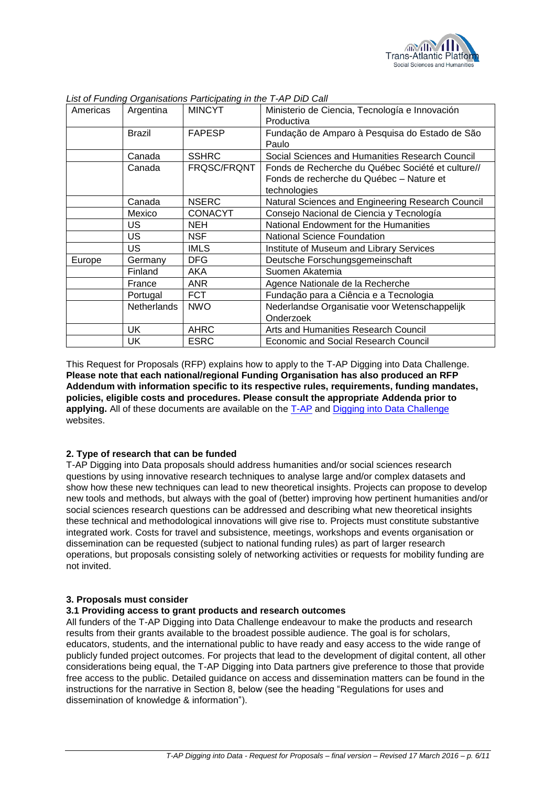

| Americas | Argentina          | <b>MINCYT</b>  | Ministerio de Ciencia, Tecnología e Innovación<br>Productiva                                                  |
|----------|--------------------|----------------|---------------------------------------------------------------------------------------------------------------|
|          | <b>Brazil</b>      | <b>FAPESP</b>  | Fundação de Amparo à Pesquisa do Estado de São<br>Paulo                                                       |
|          | Canada             | <b>SSHRC</b>   | Social Sciences and Humanities Research Council                                                               |
|          | Canada             | FRQSC/FRQNT    | Fonds de Recherche du Québec Société et culture//<br>Fonds de recherche du Québec - Nature et<br>technologies |
|          | Canada             | <b>NSERC</b>   | Natural Sciences and Engineering Research Council                                                             |
|          | Mexico             | <b>CONACYT</b> | Consejo Nacional de Ciencia y Tecnología                                                                      |
|          | US                 | NEH.           | National Endowment for the Humanities                                                                         |
|          | US                 | NSF.           | <b>National Science Foundation</b>                                                                            |
|          | US.                | <b>IMLS</b>    | Institute of Museum and Library Services                                                                      |
| Europe   | Germany            | <b>DFG</b>     | Deutsche Forschungsgemeinschaft                                                                               |
|          | Finland            | AKA            | Suomen Akatemia                                                                                               |
|          | France             | <b>ANR</b>     | Agence Nationale de la Recherche                                                                              |
|          | Portugal           | <b>FCT</b>     | Fundação para a Ciência e a Tecnologia                                                                        |
|          | <b>Netherlands</b> | <b>NWO</b>     | Nederlandse Organisatie voor Wetenschappelijk<br>Onderzoek                                                    |
|          |                    | <b>AHRC</b>    |                                                                                                               |
|          | UK                 |                | Arts and Humanities Research Council                                                                          |
|          | UK.                | <b>ESRC</b>    | Economic and Social Research Council                                                                          |

*List of Funding Organisations Participating in the T-AP DiD Call*

This Request for Proposals (RFP) explains how to apply to the T-AP Digging into Data Challenge. **Please note that each national/regional Funding Organisation has also produced an RFP Addendum with information specific to its respective rules, requirements, funding mandates, policies, eligible costs and procedures. Please consult the appropriate Addenda prior to applying.** All of these documents are available on the [T-AP](http://www.transatlanticplatform.com/) and [Digging into Data Challenge](http://diggingintodata.org/) websites.

#### **2. Type of research that can be funded**

T-AP Digging into Data proposals should address humanities and/or social sciences research questions by using innovative research techniques to analyse large and/or complex datasets and show how these new techniques can lead to new theoretical insights. Projects can propose to develop new tools and methods, but always with the goal of (better) improving how pertinent humanities and/or social sciences research questions can be addressed and describing what new theoretical insights these technical and methodological innovations will give rise to. Projects must constitute substantive integrated work. Costs for travel and subsistence, meetings, workshops and events organisation or dissemination can be requested (subject to national funding rules) as part of larger research operations, but proposals consisting solely of networking activities or requests for mobility funding are not invited.

#### **3. Proposals must consider**

#### **3.1 Providing access to grant products and research outcomes**

All funders of the T-AP Digging into Data Challenge endeavour to make the products and research results from their grants available to the broadest possible audience. The goal is for scholars, educators, students, and the international public to have ready and easy access to the wide range of publicly funded project outcomes. For projects that lead to the development of digital content, all other considerations being equal, the T-AP Digging into Data partners give preference to those that provide free access to the public. Detailed guidance on access and dissemination matters can be found in the instructions for the narrative in Section 8, below (see the heading "Regulations for uses and dissemination of knowledge & information").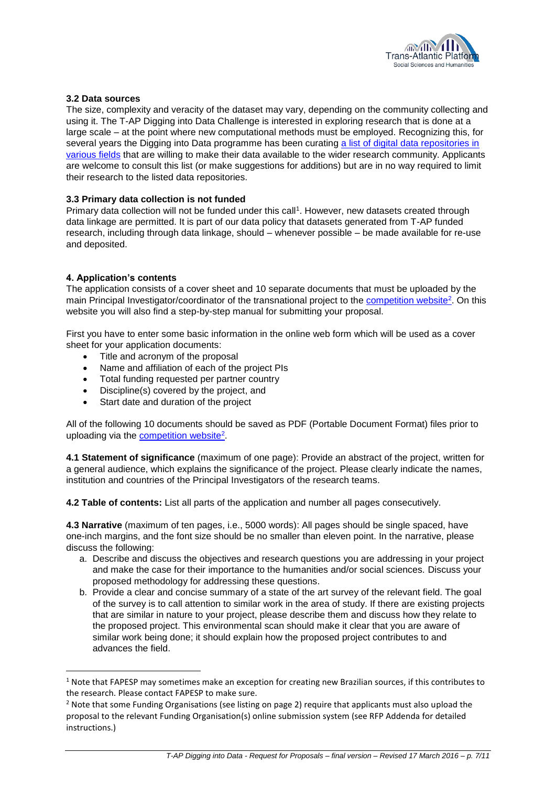

## **3.2 Data sources**

The size, complexity and veracity of the dataset may vary, depending on the community collecting and using it. The T-AP Digging into Data Challenge is interested in exploring research that is done at a large scale – at the point where new computational methods must be employed. Recognizing this, for several years the Digging into Data programme has been curating a list of digital data repositories in [various fields](http://diggingintodata.org/#quicktabs-quick_nav_interior_about=1) that are willing to make their data available to the wider research community. Applicants are welcome to consult this list (or make suggestions for additions) but are in no way required to limit their research to the listed data repositories.

#### **3.3 Primary data collection is not funded**

Primary data collection will not be funded under this call<sup>1</sup>. However, new datasets created through data linkage are permitted. It is part of our data policy that datasets generated from T-AP funded research, including through data linkage, should – whenever possible – be made available for re-use and deposited.

#### **4. Application's contents**

 $\overline{a}$ 

The application consists of a cover sheet and 10 separate documents that must be uploaded by the main Principal Investigator/coordinator of the transnational project to the **competition website**<sup>2</sup>. On this website you will also find a step-by-step manual for submitting your proposal.

First you have to enter some basic information in the online web form which will be used as a cover sheet for your application documents:

- Title and acronym of the proposal
- Name and affiliation of each of the project PIs
- Total funding requested per partner country
- Discipline(s) covered by the project, and
- Start date and duration of the project

All of the following 10 documents should be saved as PDF (Portable Document Format) files prior to uploading via the [competition website](http://www.transatlanticplatform.com/)<sup>2</sup>

**4.1 Statement of significance** (maximum of one page): Provide an abstract of the project, written for a general audience, which explains the significance of the project. Please clearly indicate the names, institution and countries of the Principal Investigators of the research teams.

**4.2 Table of contents:** List all parts of the application and number all pages consecutively.

**4.3 Narrative** (maximum of ten pages, i.e., 5000 words): All pages should be single spaced, have one-inch margins, and the font size should be no smaller than eleven point. In the narrative, please discuss the following:

- a. Describe and discuss the objectives and research questions you are addressing in your project and make the case for their importance to the humanities and/or social sciences. Discuss your proposed methodology for addressing these questions.
- b. Provide a clear and concise summary of a state of the art survey of the relevant field. The goal of the survey is to call attention to similar work in the area of study. If there are existing projects that are similar in nature to your project, please describe them and discuss how they relate to the proposed project. This environmental scan should make it clear that you are aware of similar work being done; it should explain how the proposed project contributes to and advances the field.

 $1$  Note that FAPESP may sometimes make an exception for creating new Brazilian sources, if this contributes to the research. Please contact FAPESP to make sure.

<sup>&</sup>lt;sup>2</sup> Note that some Funding Organisations (see listing on page 2) require that applicants must also upload the proposal to the relevant Funding Organisation(s) online submission system (see RFP Addenda for detailed instructions.)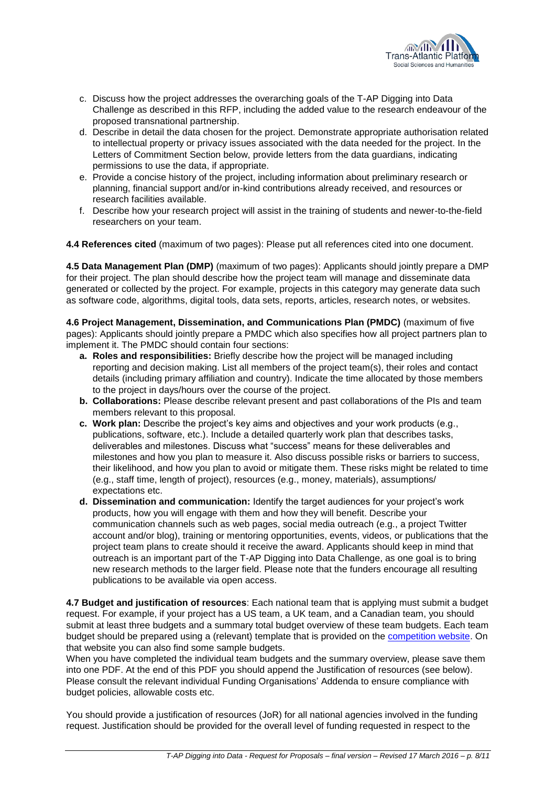

- c. Discuss how the project addresses the overarching goals of the T-AP Digging into Data Challenge as described in this RFP, including the added value to the research endeavour of the proposed transnational partnership.
- d. Describe in detail the data chosen for the project. Demonstrate appropriate authorisation related to intellectual property or privacy issues associated with the data needed for the project. In the Letters of Commitment Section below, provide letters from the data guardians, indicating permissions to use the data, if appropriate.
- e. Provide a concise history of the project, including information about preliminary research or planning, financial support and/or in-kind contributions already received, and resources or research facilities available.
- f. Describe how your research project will assist in the training of students and newer-to-the-field researchers on your team.

**4.4 References cited** (maximum of two pages): Please put all references cited into one document.

**4.5 Data Management Plan (DMP)** (maximum of two pages): Applicants should jointly prepare a DMP for their project. The plan should describe how the project team will manage and disseminate data generated or collected by the project. For example, projects in this category may generate data such as software code, algorithms, digital tools, data sets, reports, articles, research notes, or websites.

**4.6 Project Management, Dissemination, and Communications Plan (PMDC)** (maximum of five pages): Applicants should jointly prepare a PMDC which also specifies how all project partners plan to implement it. The PMDC should contain four sections:

- **a. Roles and responsibilities:** Briefly describe how the project will be managed including reporting and decision making. List all members of the project team(s), their roles and contact details (including primary affiliation and country). Indicate the time allocated by those members to the project in days/hours over the course of the project.
- **b. Collaborations:** Please describe relevant present and past collaborations of the PIs and team members relevant to this proposal.
- **c. Work plan:** Describe the project's key aims and objectives and your work products (e.g., publications, software, etc.). Include a detailed quarterly work plan that describes tasks, deliverables and milestones. Discuss what "success" means for these deliverables and milestones and how you plan to measure it. Also discuss possible risks or barriers to success, their likelihood, and how you plan to avoid or mitigate them. These risks might be related to time (e.g., staff time, length of project), resources (e.g., money, materials), assumptions/ expectations etc.
- **d. Dissemination and communication:** Identify the target audiences for your project's work products, how you will engage with them and how they will benefit. Describe your communication channels such as web pages, social media outreach (e.g., a project Twitter account and/or blog), training or mentoring opportunities, events, videos, or publications that the project team plans to create should it receive the award. Applicants should keep in mind that outreach is an important part of the T-AP Digging into Data Challenge, as one goal is to bring new research methods to the larger field. Please note that the funders encourage all resulting publications to be available via open access.

**4.7 Budget and justification of resources**: Each national team that is applying must submit a budget request. For example, if your project has a US team, a UK team, and a Canadian team, you should submit at least three budgets and a summary total budget overview of these team budgets. Each team budget should be prepared using a (relevant) template that is provided on the [competition website.](http://www.transatlanticplatform.com/) On that website you can also find some sample budgets.

When you have completed the individual team budgets and the summary overview, please save them into one PDF. At the end of this PDF you should append the Justification of resources (see below). Please consult the relevant individual Funding Organisations' Addenda to ensure compliance with budget policies, allowable costs etc.

You should provide a justification of resources (JoR) for all national agencies involved in the funding request. Justification should be provided for the overall level of funding requested in respect to the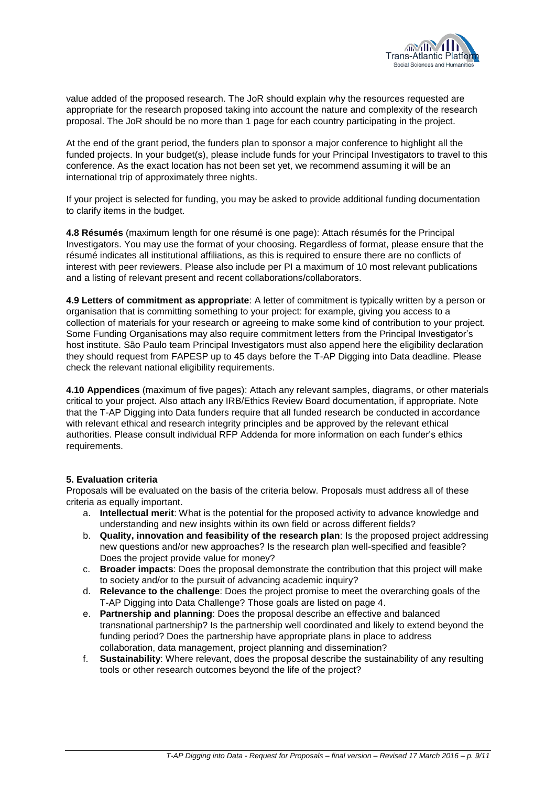

value added of the proposed research. The JoR should explain why the resources requested are appropriate for the research proposed taking into account the nature and complexity of the research proposal. The JoR should be no more than 1 page for each country participating in the project.

At the end of the grant period, the funders plan to sponsor a major conference to highlight all the funded projects. In your budget(s), please include funds for your Principal Investigators to travel to this conference. As the exact location has not been set yet, we recommend assuming it will be an international trip of approximately three nights.

If your project is selected for funding, you may be asked to provide additional funding documentation to clarify items in the budget.

**4.8 Résumés** (maximum length for one résumé is one page): Attach résumés for the Principal Investigators. You may use the format of your choosing. Regardless of format, please ensure that the résumé indicates all institutional affiliations, as this is required to ensure there are no conflicts of interest with peer reviewers. Please also include per PI a maximum of 10 most relevant publications and a listing of relevant present and recent collaborations/collaborators.

**4.9 Letters of commitment as appropriate**: A letter of commitment is typically written by a person or organisation that is committing something to your project: for example, giving you access to a collection of materials for your research or agreeing to make some kind of contribution to your project. Some Funding Organisations may also require commitment letters from the Principal Investigator's host institute. São Paulo team Principal Investigators must also append here the eligibility declaration they should request from FAPESP up to 45 days before the T-AP Digging into Data deadline. Please check the relevant national eligibility requirements.

**4.10 Appendices** (maximum of five pages): Attach any relevant samples, diagrams, or other materials critical to your project. Also attach any IRB/Ethics Review Board documentation, if appropriate. Note that the T-AP Digging into Data funders require that all funded research be conducted in accordance with relevant ethical and research integrity principles and be approved by the relevant ethical authorities. Please consult individual RFP Addenda for more information on each funder's ethics requirements.

#### **5. Evaluation criteria**

Proposals will be evaluated on the basis of the criteria below. Proposals must address all of these criteria as equally important.

- a. **Intellectual merit**: What is the potential for the proposed activity to advance knowledge and understanding and new insights within its own field or across different fields?
- b. **Quality, innovation and feasibility of the research plan**: Is the proposed project addressing new questions and/or new approaches? Is the research plan well-specified and feasible? Does the project provide value for money?
- c. **Broader impacts**: Does the proposal demonstrate the contribution that this project will make to society and/or to the pursuit of advancing academic inquiry?
- d. **Relevance to the challenge**: Does the project promise to meet the overarching goals of the T-AP Digging into Data Challenge? Those goals are listed on page 4.
- e. **Partnership and planning**: Does the proposal describe an effective and balanced transnational partnership? Is the partnership well coordinated and likely to extend beyond the funding period? Does the partnership have appropriate plans in place to address collaboration, data management, project planning and dissemination?
- f. **Sustainability**: Where relevant, does the proposal describe the sustainability of any resulting tools or other research outcomes beyond the life of the project?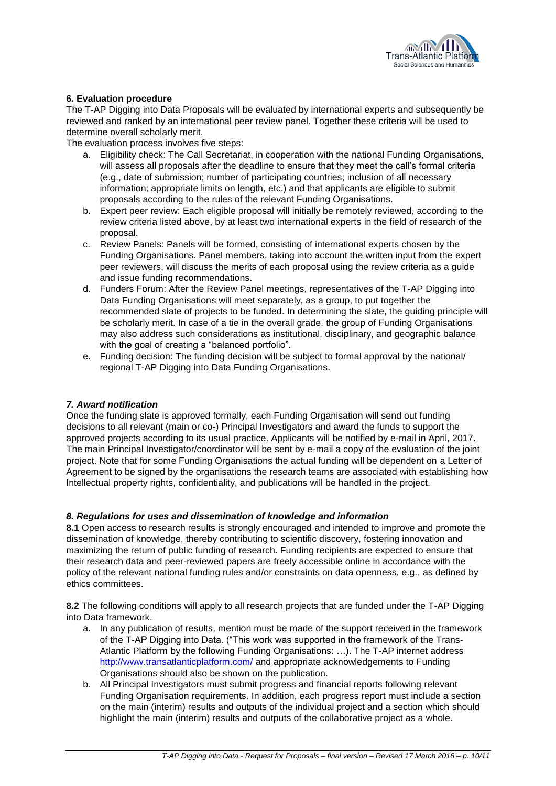

## **6. Evaluation procedure**

The T-AP Digging into Data Proposals will be evaluated by international experts and subsequently be reviewed and ranked by an international peer review panel. Together these criteria will be used to determine overall scholarly merit.

The evaluation process involves five steps:

- a. Eligibility check: The Call Secretariat, in cooperation with the national Funding Organisations, will assess all proposals after the deadline to ensure that they meet the call's formal criteria (e.g., date of submission; number of participating countries; inclusion of all necessary information; appropriate limits on length, etc.) and that applicants are eligible to submit proposals according to the rules of the relevant Funding Organisations.
- b. Expert peer review: Each eligible proposal will initially be remotely reviewed, according to the review criteria listed above, by at least two international experts in the field of research of the proposal.
- c. Review Panels: Panels will be formed, consisting of international experts chosen by the Funding Organisations. Panel members, taking into account the written input from the expert peer reviewers, will discuss the merits of each proposal using the review criteria as a guide and issue funding recommendations.
- d. Funders Forum: After the Review Panel meetings, representatives of the T-AP Digging into Data Funding Organisations will meet separately, as a group, to put together the recommended slate of projects to be funded. In determining the slate, the guiding principle will be scholarly merit. In case of a tie in the overall grade, the group of Funding Organisations may also address such considerations as institutional, disciplinary, and geographic balance with the goal of creating a "balanced portfolio".
- e. Funding decision: The funding decision will be subject to formal approval by the national/ regional T-AP Digging into Data Funding Organisations.

## *7. Award notification*

Once the funding slate is approved formally, each Funding Organisation will send out funding decisions to all relevant (main or co-) Principal Investigators and award the funds to support the approved projects according to its usual practice. Applicants will be notified by e-mail in April, 2017. The main Principal Investigator/coordinator will be sent by e-mail a copy of the evaluation of the joint project. Note that for some Funding Organisations the actual funding will be dependent on a Letter of Agreement to be signed by the organisations the research teams are associated with establishing how Intellectual property rights, confidentiality, and publications will be handled in the project.

## *8. Regulations for uses and dissemination of knowledge and information*

**8.1** Open access to research results is strongly encouraged and intended to improve and promote the dissemination of knowledge, thereby contributing to scientific discovery, fostering innovation and maximizing the return of public funding of research. Funding recipients are expected to ensure that their research data and peer-reviewed papers are freely accessible online in accordance with the policy of the relevant national funding rules and/or constraints on data openness, e.g., as defined by ethics committees.

**8.2** The following conditions will apply to all research projects that are funded under the T-AP Digging into Data framework.

- a. In any publication of results, mention must be made of the support received in the framework of the T-AP Digging into Data. ("This work was supported in the framework of the Trans-Atlantic Platform by the following Funding Organisations: …). The T-AP internet address <http://www.transatlanticplatform.com/> and appropriate acknowledgements to Funding Organisations should also be shown on the publication.
- b. All Principal Investigators must submit progress and financial reports following relevant Funding Organisation requirements. In addition, each progress report must include a section on the main (interim) results and outputs of the individual project and a section which should highlight the main (interim) results and outputs of the collaborative project as a whole.